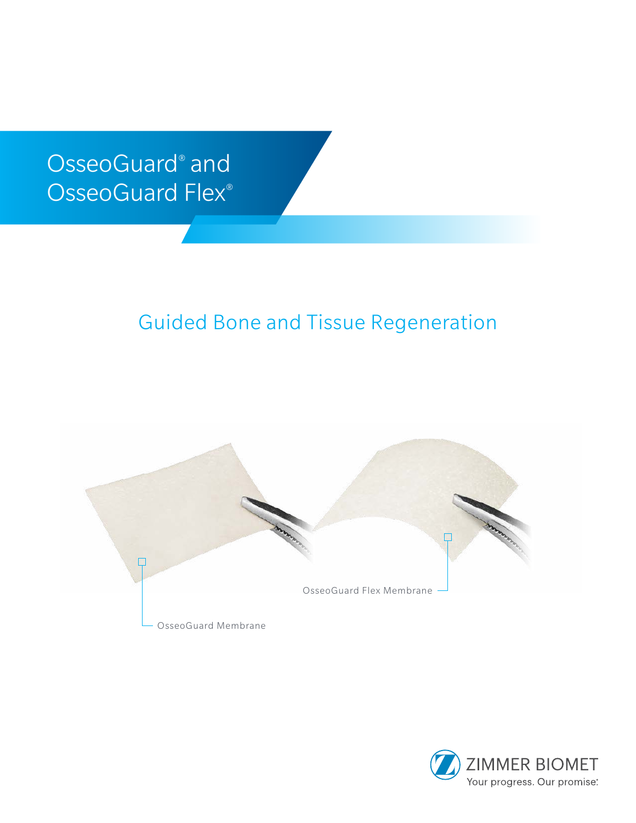# OsseoGuard® and OsseoGuard Flex®

# Guided Bone and Tissue Regeneration



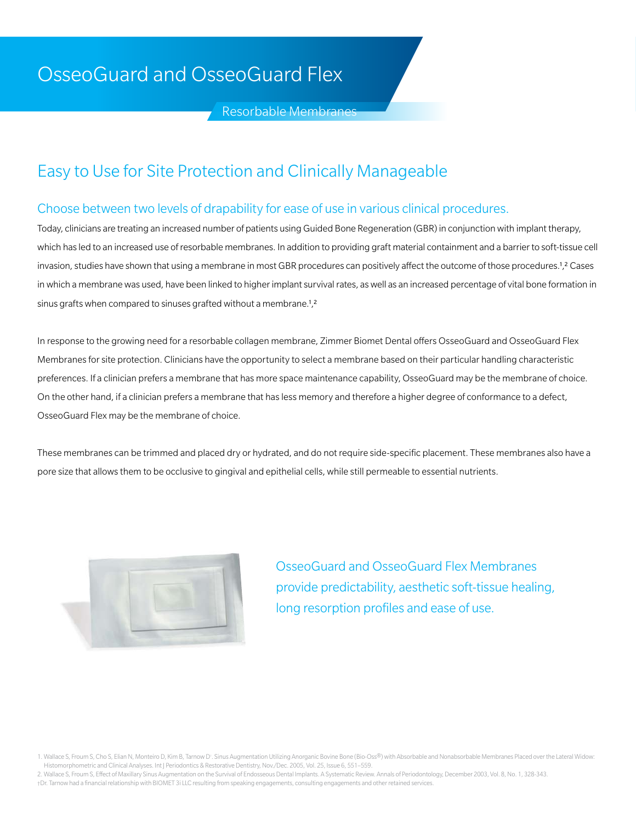# OsseoGuard and OsseoGuard Flex

Resorbable Membranes

## Easy to Use for Site Protection and Clinically Manageable

#### Choose between two levels of drapability for ease of use in various clinical procedures.

Today, clinicians are treating an increased number of patients using Guided Bone Regeneration (GBR) in conjunction with implant therapy, which has led to an increased use of resorbable membranes. In addition to providing graft material containment and a barrier to soft-tissue cell invasion, studies have shown that using a membrane in most GBR procedures can positively affect the outcome of those procedures.<sup>1</sup>,<sup>2</sup> Cases in which a membrane was used, have been linked to higher implant survival rates, as well as an increased percentage of vital bone formation in sinus grafts when compared to sinuses grafted without a membrane.1,2

In response to the growing need for a resorbable collagen membrane, Zimmer Biomet Dental offers OsseoGuard and OsseoGuard Flex Membranes for site protection. Clinicians have the opportunity to select a membrane based on their particular handling characteristic preferences. If a clinician prefers a membrane that has more space maintenance capability, OsseoGuard may be the membrane of choice. On the other hand, if a clinician prefers a membrane that has less memory and therefore a higher degree of conformance to a defect, OsseoGuard Flex may be the membrane of choice.

These membranes can be trimmed and placed dry or hydrated, and do not require side-specific placement. These membranes also have a pore size that allows them to be occlusive to gingival and epithelial cells, while still permeable to essential nutrients.



OsseoGuard and OsseoGuard Flex Membranes provide predictability, aesthetic soft-tissue healing, long resorption profiles and ease of use.

<sup>1.</sup> Wallace S, Froum S, Cho S, Elian N, Monteiro D, Kim B, Tarnow D<sup>:</sup>. Sinus Augmentation Utilizing Anorganic Bovine Bone (Bio-Oss®) with Absorbable and Nonabsorbable Membranes Placed over the Lateral Widow: Histomorphometric and Clinical Analyses. Int J Periodontics & Restorative Dentistry, Nov./Dec. 2005, Vol. 25, Issue 6, 551–559.

<sup>2.</sup> Wallace S, Froum S, Effect of Maxillary Sinus Augmentation on the Survival of Endosseous Dental Implants. A Systematic Review. Annals of Periodontology, December 2003, Vol. 8, No. 1, 328-343. †Dr. Tarnow had a financial relationship with BIOMET 3i LLC resulting from speaking engagements, consulting engagements and other retained services.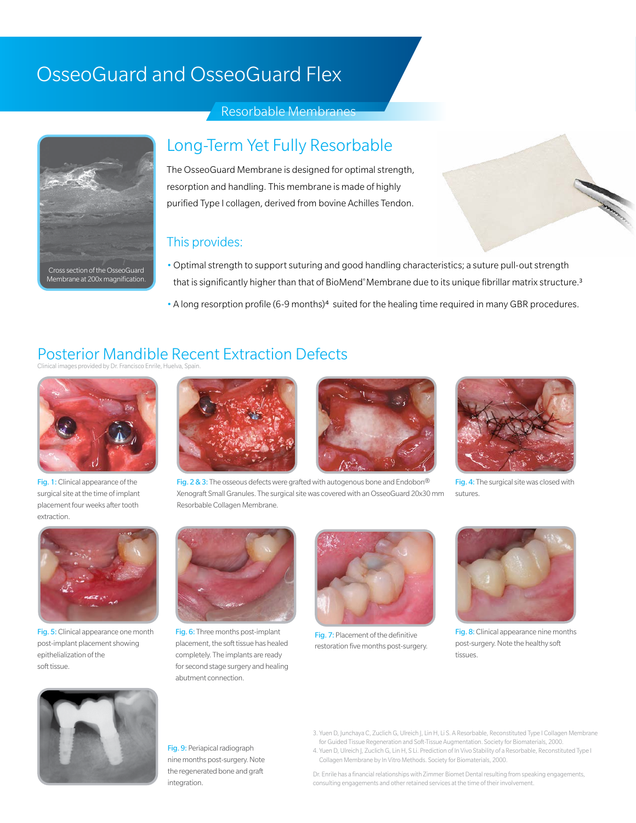# OsseoGuard and OsseoGuard Flex





### Long-Term Yet Fully Resorbable

The OsseoGuard Membrane is designed for optimal strength, resorption and handling. This membrane is made of highly purified Type I collagen, derived from bovine Achilles Tendon.

#### This provides:

- •Optimal strength to support suturing and good handling characteristics; a suture pull-out strength that is significantly higher than that of BioMend® Membrane due to its unique fibrillar matrix structure.<sup>3</sup>
- •A long resorption profile (6-9 months)4 suited for the healing time required in many GBR procedures.

## Posterior Mandible Recent Extraction Defects

Clinical images provided by Dr. Francisco Enrile, Huelva, Spain.



Fig. 1: Clinical appearance of the surgical site at the time of implant placement four weeks after tooth extraction.





Fig. 2 & 3: The osseous defects were grafted with autogenous bone and Endobon® Xenograft Small Granules. The surgical site was covered with an OsseoGuard 20x30mm Resorbable Collagen Membrane.



**CONTRACTOR** 

Fig. 4: The surgical site was closed with sutures



Fig. 5: Clinical appearance one month post-implant placement showing epithelialization of the soft tissue.



Fig. 6: Three months post-implant placement, the soft tissue has healed completely. The implants are ready for second stage surgery and healing abutment connection.



Fig. 7: Placement of the definitive restoration five months post-surgery.



Fig. 8: Clinical appearance nine months post-surgery. Note the healthy soft tissues.



Fig. 9: Periapical radiograph nine months post-surgery. Note the regenerated bone and graft integration.

- 3. Yuen D, Junchaya C, Zuclich G, Ulreich J, Lin H, Li S. A Resorbable, Reconstituted Type I Collagen Membrane for Guided Tissue Regeneration and Soft-Tissue Augmentation. Society for Biomaterials, 2000. 4. Yuen D, Ulreich J, Zuclich G, Lin H, S Li. Prediction of In Vivo Stability of a Resorbable, Reconstituted Type I
- Collagen Membrane by In Vitro Methods. Society for Biomaterials, 2000. Dr. Enrile has a financial relationships with Zimmer Biomet Dental resulting from speaking engagements,

consulting engagements and other retained services at the time of their involvement.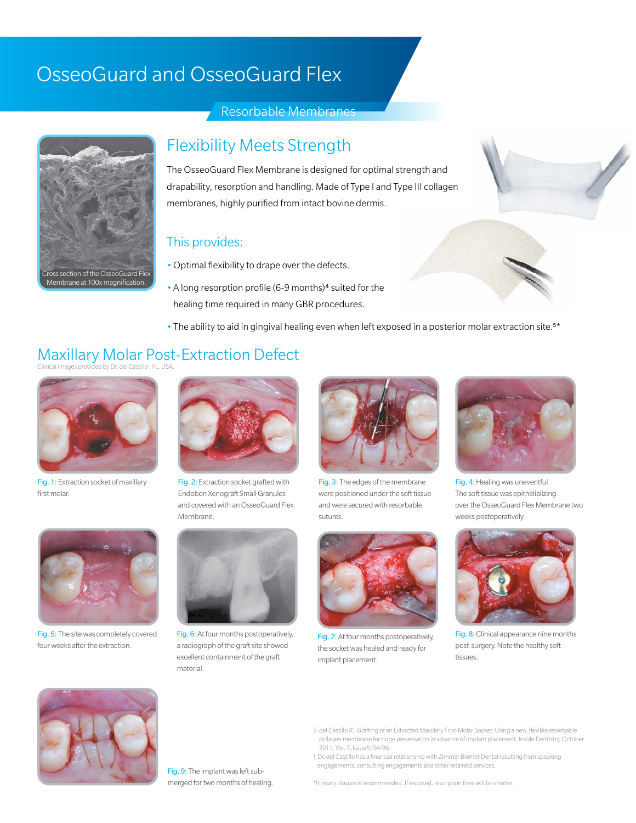# OsseoGuard and OsseoGuard Flex



#### Resorbable Membranes

#### Flexibility Meets Strength

The OsseoGuard Flex Membrane is designed for optimal strength and drapability, resorption and handling. Made of Type I and Type III collagen membranes, highly purified from intact bovine dermis.

#### This provides:

- •Optimal flexibility to drape over the defects.
- •A long resorption profile (6-9 months)4 suited for the healing time required in many GBR procedures.



• The ability to aid in gingival healing even when left exposed in a posterior molar extraction site.5\*

# Maxillary Molar Post-Extraction Defect<br>Clinical images provided by Dr. del Castillo<sup>r</sup>, FL, USA.



Fig. 1: Extraction socket of maxillary first molar.



Fig. 2: Extraction socket grafted with Endobon Xenograft Small Granules and covered with an OsseoGuard Flex Membrane.



Fig. 5: The site was completely covered four weeks after the extraction.



Fig. 6: At four months postoperatively, a radiograph of the graft site showed excellent containment of the graft material.



Fig. 3: The edges of the membrane were positioned under the soft tissue and were secured with resorbable sutures.



Fig. 7: At four months postoperatively, the socket was healed and ready for implant placement.



Fig. 4: Healing was uneventful. The soft tissue was epithelializing over the OsseoGuard Flex Membrane two weeks postoperatively.



Fig. 8: Clinical appearance nine months post-surgery. Note the healthy soft tissues.



Fig. 9: The implant was left submerged for two months of healing.

- 5. del Castillo R† . Grafting of an Extracted Maxillary First-Molar Socket: Using a new, flexible resorbable collagen membrane for ridge preservation in advance of implant placement. Inside Dentistry, October 2011, Vol. 7, Issue 9, 94-96.
- † Dr. del Castillo has a financial relationship with Zimmer Biomet Dental resulting from speaking engagements, consulting engagements and other retained services.

\*Primary closure is recommended. If exposed, resorption time will be shorter.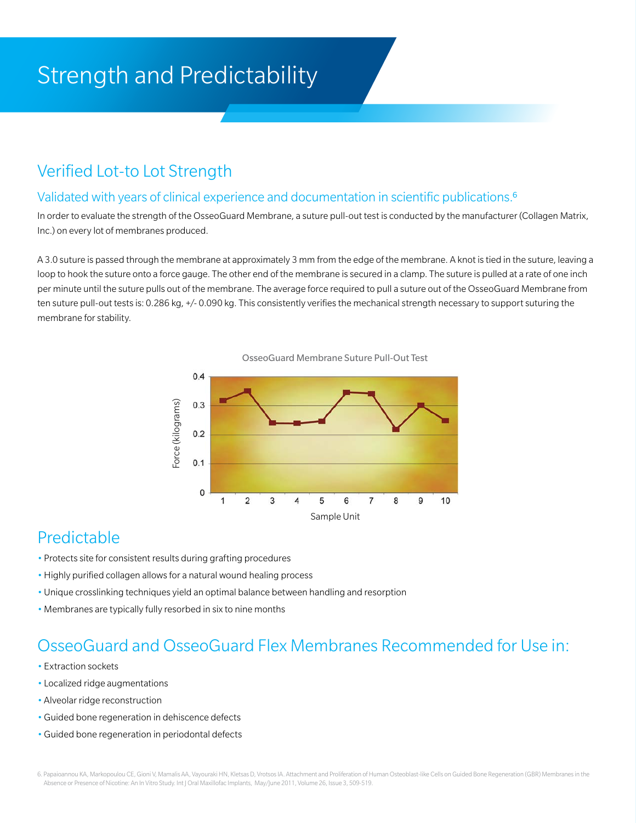# Strength and Predictability

## Verified Lot-to Lot Strength

#### Validated with years of clinical experience and documentation in scientific publications.<sup>6</sup>

In order to evaluate the strength of the OsseoGuard Membrane, a suture pull-out test is conducted by the manufacturer (Collagen Matrix, Inc.) on every lot of membranes produced.

A 3.0 suture is passed through the membrane at approximately 3 mm from the edge of the membrane. A knot is tied in the suture, leaving a loop to hook the suture onto a force gauge. The other end of the membrane is secured in a clamp. The suture is pulled at a rate of one inch per minute until the suture pulls out of the membrane. The average force required to pull a suture out of the OsseoGuard Membrane from ten suture pull-out tests is: 0.286 kg, +/- 0.090 kg. This consistently verifies the mechanical strength necessary to support suturing the membrane for stability.





## Predictable

- Protects site for consistent results during grafting procedures
- •Highly purified collagen allows for a natural wound healing process
- •Unique crosslinking techniques yield an optimal balance between handling and resorption
- •Membranes are typically fully resorbed in six to nine months

### OsseoGuard and OsseoGuard Flex Membranes Recommended for Use in:

- Extraction sockets
- Localized ridge augmentations
- •Alveolar ridge reconstruction
- •Guided bone regeneration in dehiscence defects
- •Guided bone regeneration in periodontal defects

6. Papaioannou KA, Markopoulou CE, Gioni V, Mamalis AA, Vayouraki HN, Kletsas D, Vrotsos IA. Attachment and Proliferation of Human Osteoblast-like Cells on Guided Bone Regeneration (GBR) Membranes in the Absence or Presence of Nicotine: An In Vitro Study. Int J Oral Maxillofac Implants, May/June 2011, Volume 26, Issue 3, 509-519.